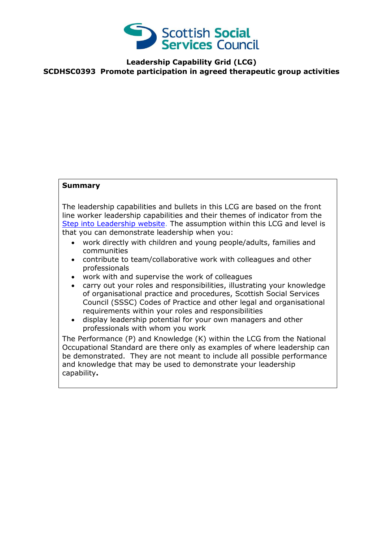

**Leadership Capability Grid (LCG) SCDHSC0393 Promote participation in agreed therapeutic group activities**

## **Summary**

The leadership capabilities and bullets in this LCG are based on the front line worker leadership capabilities and their themes of indicator from the [Step into Leadership website.](http://www.stepintoleadership.info/) The assumption within this LCG and level is that you can demonstrate leadership when you:

- work directly with children and young people/adults, families and communities
- contribute to team/collaborative work with colleagues and other professionals
- work with and supervise the work of colleagues
- carry out your roles and responsibilities, illustrating your knowledge of organisational practice and procedures, Scottish Social Services Council (SSSC) Codes of Practice and other legal and organisational requirements within your roles and responsibilities
- display leadership potential for your own managers and other professionals with whom you work

The Performance (P) and Knowledge (K) within the LCG from the National Occupational Standard are there only as examples of where leadership can be demonstrated. They are not meant to include all possible performance and knowledge that may be used to demonstrate your leadership capability**.**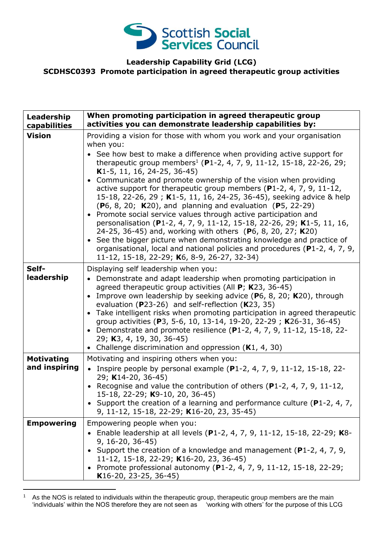

## **Leadership Capability Grid (LCG) SCDHSC0393 Promote participation in agreed therapeutic group activities**

| Leadership<br>capabilities         | When promoting participation in agreed therapeutic group<br>activities you can demonstrate leadership capabilities by:                                                                                                                                                                                                                                                                                                                                                                                                                                                                                                                                                                                                                                                                                                                                                                            |
|------------------------------------|---------------------------------------------------------------------------------------------------------------------------------------------------------------------------------------------------------------------------------------------------------------------------------------------------------------------------------------------------------------------------------------------------------------------------------------------------------------------------------------------------------------------------------------------------------------------------------------------------------------------------------------------------------------------------------------------------------------------------------------------------------------------------------------------------------------------------------------------------------------------------------------------------|
| <b>Vision</b>                      | Providing a vision for those with whom you work and your organisation<br>when you:                                                                                                                                                                                                                                                                                                                                                                                                                                                                                                                                                                                                                                                                                                                                                                                                                |
|                                    | • See how best to make a difference when providing active support for<br>therapeutic group members <sup>1</sup> (P1-2, 4, 7, 9, 11-12, 15-18, 22-26, 29;<br>K1-5, 11, 16, 24-25, 36-45)<br>Communicate and promote ownership of the vision when providing<br>active support for therapeutic group members ( $P1-2$ , 4, 7, 9, 11-12,<br>15-18, 22-26, 29; K1-5, 11, 16, 24-25, 36-45), seeking advice & help<br>$(P6, 8, 20; K20)$ , and planning and evaluation $(P5, 22-29)$<br>• Promote social service values through active participation and<br>personalisation (P1-2, 4, 7, 9, 11-12, 15-18, 22-26, 29; K1-5, 11, 16,<br>24-25, 36-45) and, working with others (P6, 8, 20, 27; K20)<br>• See the bigger picture when demonstrating knowledge and practice of<br>organisational, local and national policies and procedures (P1-2, 4, 7, 9,<br>11-12, 15-18, 22-29; K6, 8-9, 26-27, 32-34) |
| Self-<br>leadership                | Displaying self leadership when you:<br>• Demonstrate and adapt leadership when promoting participation in<br>agreed therapeutic group activities (All $P$ ; K23, 36-45)<br>• Improve own leadership by seeking advice (P6, 8, 20; K20), through<br>evaluation (P23-26) and self-reflection (K23, 35)<br>• Take intelligent risks when promoting participation in agreed therapeutic<br>group activities (P3, 5-6, 10, 13-14, 19-20, 22-29; K26-31, 36-45)<br>• Demonstrate and promote resilience (P1-2, 4, 7, 9, 11-12, 15-18, 22-<br>29; K3, 4, 19, 30, 36-45)<br>• Challenge discrimination and oppression $(K1, 4, 30)$                                                                                                                                                                                                                                                                      |
| <b>Motivating</b><br>and inspiring | Motivating and inspiring others when you:<br>• Inspire people by personal example (P1-2, 4, 7, 9, 11-12, 15-18, 22-<br>29; K14-20, 36-45)<br>• Recognise and value the contribution of others ( $P1-2$ , 4, 7, 9, 11-12,<br>15-18, 22-29; K9-10, 20, 36-45)<br>• Support the creation of a learning and performance culture ( $P1-2$ , 4, 7,<br>9, 11-12, 15-18, 22-29; K16-20, 23, 35-45)                                                                                                                                                                                                                                                                                                                                                                                                                                                                                                        |
| <b>Empowering</b>                  | Empowering people when you:<br>Enable leadership at all levels (P1-2, 4, 7, 9, 11-12, 15-18, 22-29; K8-<br>$9, 16 - 20, 36 - 45$<br>• Support the creation of a knowledge and management ( $P1-2$ , 4, 7, 9,<br>11-12, 15-18, 22-29; K16-20, 23, 36-45)<br>• Promote professional autonomy (P1-2, 4, 7, 9, 11-12, 15-18, 22-29;<br>K16-20, 23-25, 36-45)                                                                                                                                                                                                                                                                                                                                                                                                                                                                                                                                          |

<sup>-</sup> $<sup>1</sup>$  As the NOS is related to individuals within the therapeutic group, therapeutic group members are the main</sup> 'individuals' within the NOS therefore they are not seen as 'working with others' for the purpose of this LCG